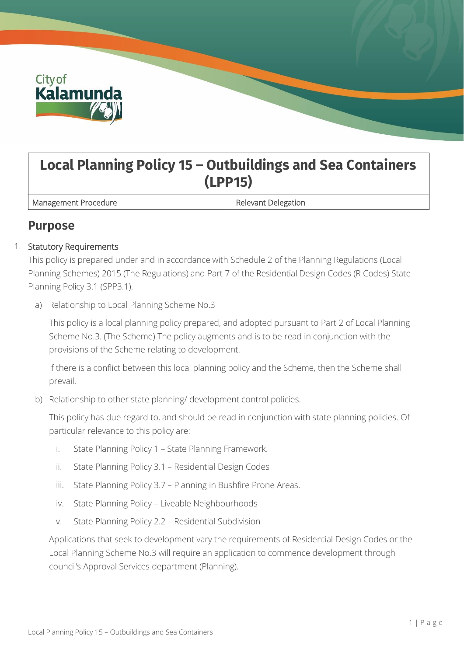

# **Local Planning Policy 15 – Outbuildings and Sea Containers (LPP15)**

Management Procedure **Relevant Delegation** 

# **Purpose**

## 1. Statutory Requirements

This policy is prepared under and in accordance with Schedule 2 of the Planning Regulations (Local Planning Schemes) 2015 (The Regulations) and Part 7 of the Residential Design Codes (R Codes) State Planning Policy 3.1 (SPP3.1).

a) Relationship to Local Planning Scheme No.3

This policy is a local planning policy prepared, and adopted pursuant to Part 2 of Local Planning Scheme No.3. (The Scheme) The policy augments and is to be read in conjunction with the provisions of the Scheme relating to development.

If there is a conflict between this local planning policy and the Scheme, then the Scheme shall prevail.

b) Relationship to other state planning/ development control policies.

This policy has due regard to, and should be read in conjunction with state planning policies. Of particular relevance to this policy are:

- i. State Planning Policy 1 State Planning Framework.
- ii. State Planning Policy 3.1 Residential Design Codes
- iii. State Planning Policy 3.7 Planning in Bushfire Prone Areas.
- iv. State Planning Policy Liveable Neighbourhoods
- v. State Planning Policy 2.2 Residential Subdivision

Applications that seek to development vary the requirements of Residential Design Codes or the Local Planning Scheme No.3 will require an application to commence development through council's Approval Services department (Planning).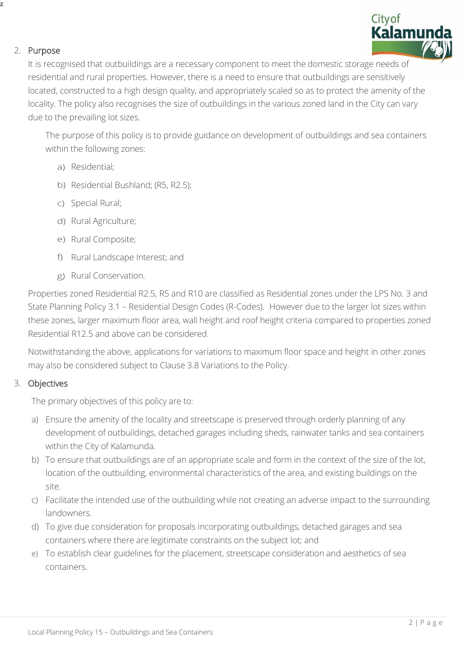

### 2. Purpose

z

It is recognised that outbuildings are a necessary component to meet the domestic storage needs of residential and rural properties. However, there is a need to ensure that outbuildings are sensitively located, constructed to a high design quality, and appropriately scaled so as to protect the amenity of the locality. The policy also recognises the size of outbuildings in the various zoned land in the City can vary due to the prevailing lot sizes.

The purpose of this policy is to provide guidance on development of outbuildings and sea containers within the following zones:

- a) Residential;
- b) Residential Bushland; (R5, R2.5);
- c) Special Rural;
- d) Rural Agriculture;
- e) Rural Composite;
- f) Rural Landscape Interest; and
- g) Rural Conservation.

Properties zoned Residential R2.5, R5 and R10 are classified as Residential zones under the LPS No. 3 and State Planning Policy 3.1 – Residential Design Codes (R-Codes). However due to the larger lot sizes within these zones, larger maximum floor area, wall height and roof height criteria compared to properties zoned Residential R12.5 and above can be considered.

Notwithstanding the above, applications for variations to maximum floor space and height in other zones may also be considered subject to Clause 3.8 Variations to the Policy.

### 3. Objectives

The primary objectives of this policy are to:

- a) Ensure the amenity of the locality and streetscape is preserved through orderly planning of any development of outbuildings, detached garages including sheds, rainwater tanks and sea containers within the City of Kalamunda.
- b) To ensure that outbuildings are of an appropriate scale and form in the context of the size of the lot, location of the outbuilding, environmental characteristics of the area, and existing buildings on the site.
- c) Facilitate the intended use of the outbuilding while not creating an adverse impact to the surrounding landowners.
- d) To give due consideration for proposals incorporating outbuildings, detached garages and sea containers where there are legitimate constraints on the subject lot; and
- e) To establish clear guidelines for the placement, streetscape consideration and aesthetics of sea containers.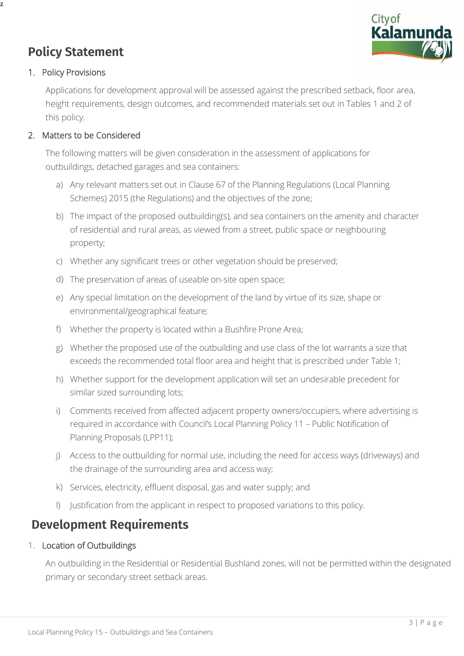

# **Policy Statement**

## 1. Policy Provisions

z

Applications for development approval will be assessed against the prescribed setback, floor area, height requirements, design outcomes, and recommended materials set out in Tables 1 and 2 of this policy.

# 2. Matters to be Considered

The following matters will be given consideration in the assessment of applications for outbuildings, detached garages and sea containers:

- a) Any relevant matters set out in Clause 67 of the Planning Regulations (Local Planning Schemes) 2015 (the Regulations) and the objectives of the zone;
- b) The impact of the proposed outbuilding(s), and sea containers on the amenity and character of residential and rural areas, as viewed from a street, public space or neighbouring property;
- c) Whether any significant trees or other vegetation should be preserved;
- d) The preservation of areas of useable on-site open space;
- e) Any special limitation on the development of the land by virtue of its size, shape or environmental/geographical feature;
- f) Whether the property is located within a Bushfire Prone Area;
- g) Whether the proposed use of the outbuilding and use class of the lot warrants a size that exceeds the recommended total floor area and height that is prescribed under Table 1;
- h) Whether support for the development application will set an undesirable precedent for similar sized surrounding lots;
- i) Comments received from affected adjacent property owners/occupiers, where advertising is required in accordance with Council's Local Planning Policy 11 – Public Notification of Planning Proposals (LPP11);
- j) Access to the outbuilding for normal use, including the need for access ways (driveways) and the drainage of the surrounding area and access way;
- k) Services, electricity, effluent disposal, gas and water supply; and
- l) Justification from the applicant in respect to proposed variations to this policy.

# **Development Requirements**

## 1. Location of Outbuildings

An outbuilding in the Residential or Residential Bushland zones, will not be permitted within the designated primary or secondary street setback areas.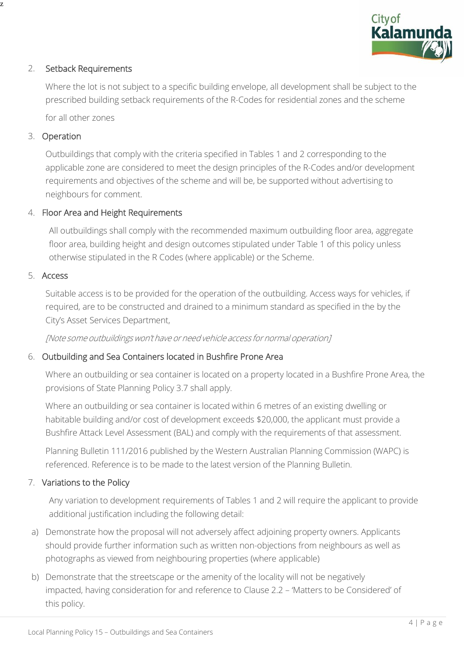

## 2. Setback Requirements

Where the lot is not subject to a specific building envelope, all development shall be subject to the prescribed building setback requirements of the R-Codes for residential zones and the scheme

for all other zones

## 3. Operation

z

Outbuildings that comply with the criteria specified in Tables 1 and 2 corresponding to the applicable zone are considered to meet the design principles of the R-Codes and/or development requirements and objectives of the scheme and will be, be supported without advertising to neighbours for comment.

## 4. Floor Area and Height Requirements

All outbuildings shall comply with the recommended maximum outbuilding floor area, aggregate floor area, building height and design outcomes stipulated under Table 1 of this policy unless otherwise stipulated in the R Codes (where applicable) or the Scheme.

### 5. Access

Suitable access is to be provided for the operation of the outbuilding. Access ways for vehicles, if required, are to be constructed and drained to a minimum standard as specified in the by the City's Asset Services Department,

[Note some outbuildings won'thave or need vehicle access for normal operation]

### 6. Outbuilding and Sea Containers located in Bushfire Prone Area

Where an outbuilding or sea container is located on a property located in a Bushfire Prone Area, the provisions of State Planning Policy 3.7 shall apply.

Where an outbuilding or sea container is located within 6 metres of an existing dwelling or habitable building and/or cost of development exceeds \$20,000, the applicant must provide a Bushfire Attack Level Assessment (BAL) and comply with the requirements of that assessment.

Planning Bulletin 111/2016 published by the Western Australian Planning Commission (WAPC) is referenced. Reference is to be made to the latest version of the Planning Bulletin.

### 7. Variations to the Policy

Any variation to development requirements of Tables 1 and 2 will require the applicant to provide additional justification including the following detail:

- a) Demonstrate how the proposal will not adversely affect adjoining property owners. Applicants should provide further information such as written non-objections from neighbours as well as photographs as viewed from neighbouring properties (where applicable)
- b) Demonstrate that the streetscape or the amenity of the locality will not be negatively impacted, having consideration for and reference to Clause 2.2 – 'Matters to be Considered' of this policy.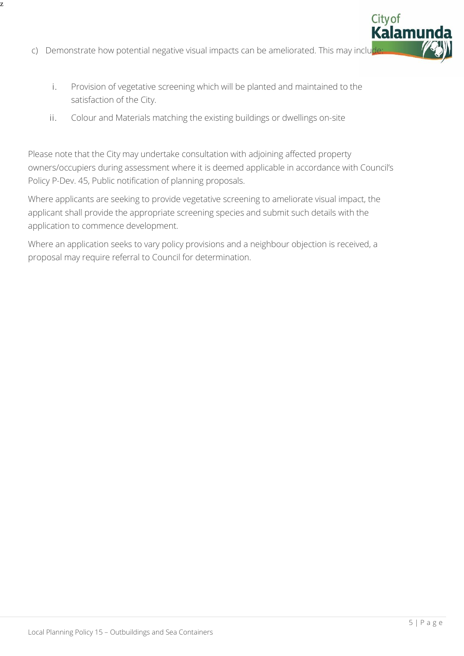c) Demonstrate how potential negative visual impacts can be ameliorated. This may include

z

- i. Provision of vegetative screening which will be planted and maintained to the satisfaction of the City.
- ii. Colour and Materials matching the existing buildings or dwellings on-site

Please note that the City may undertake consultation with adjoining affected property owners/occupiers during assessment where it is deemed applicable in accordance with Council's Policy P-Dev. 45, Public notification of planning proposals.

Where applicants are seeking to provide vegetative screening to ameliorate visual impact, the applicant shall provide the appropriate screening species and submit such details with the application to commence development.

Where an application seeks to vary policy provisions and a neighbour objection is received, a proposal may require referral to Council for determination.

Cityof<br>**Kalamu**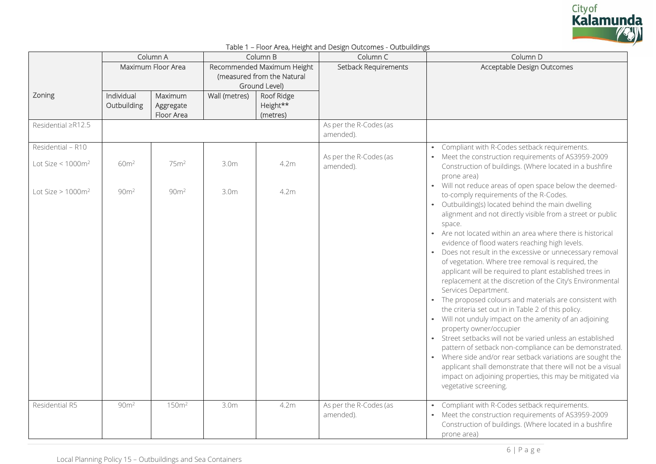

|  |  | Table 1 - Floor Area, Height and Design Outcomes - Outbuildings |
|--|--|-----------------------------------------------------------------|
|  |  |                                                                 |

|                                           |                           | Column A                           |                  | Column B                                                                  | Column C                            | Column D                                                                                                                                                                                                                                                                                                                                                                                                                                                                                                                                                                                                                                                                                                                                                                                                                                                                                                                                                                                                                                                                                                      |
|-------------------------------------------|---------------------------|------------------------------------|------------------|---------------------------------------------------------------------------|-------------------------------------|---------------------------------------------------------------------------------------------------------------------------------------------------------------------------------------------------------------------------------------------------------------------------------------------------------------------------------------------------------------------------------------------------------------------------------------------------------------------------------------------------------------------------------------------------------------------------------------------------------------------------------------------------------------------------------------------------------------------------------------------------------------------------------------------------------------------------------------------------------------------------------------------------------------------------------------------------------------------------------------------------------------------------------------------------------------------------------------------------------------|
|                                           |                           | Maximum Floor Area                 |                  | Recommended Maximum Height<br>(measured from the Natural<br>Ground Level) | <b>Setback Requirements</b>         | Acceptable Design Outcomes                                                                                                                                                                                                                                                                                                                                                                                                                                                                                                                                                                                                                                                                                                                                                                                                                                                                                                                                                                                                                                                                                    |
| Zoning                                    | Individual<br>Outbuilding | Maximum<br>Aggregate<br>Floor Area | Wall (metres)    | Roof Ridge<br>Height**<br>(metres)                                        |                                     |                                                                                                                                                                                                                                                                                                                                                                                                                                                                                                                                                                                                                                                                                                                                                                                                                                                                                                                                                                                                                                                                                                               |
| Residential ≥R12.5                        |                           |                                    |                  |                                                                           | As per the R-Codes (as<br>amended). |                                                                                                                                                                                                                                                                                                                                                                                                                                                                                                                                                                                                                                                                                                                                                                                                                                                                                                                                                                                                                                                                                                               |
| Residential - R10<br>Lot Size < $1000m^2$ | 60 <sup>m²</sup>          | 75 <sup>m²</sup>                   | 3.0 <sub>m</sub> | 4.2m                                                                      | As per the R-Codes (as<br>amended). | Compliant with R-Codes setback requirements.<br>$\bullet$<br>• Meet the construction requirements of AS3959-2009<br>Construction of buildings. (Where located in a bushfire<br>prone area)<br>Will not reduce areas of open space below the deemed-                                                                                                                                                                                                                                                                                                                                                                                                                                                                                                                                                                                                                                                                                                                                                                                                                                                           |
| Lot Size $> 1000m^2$                      | 90 <sup>m²</sup>          | 90 <sup>m²</sup>                   | 3.0 <sub>m</sub> | 4.2m                                                                      |                                     | to-comply requirements of the R-Codes.<br>Outbuilding(s) located behind the main dwelling<br>alignment and not directly visible from a street or public<br>space.<br>• Are not located within an area where there is historical<br>evidence of flood waters reaching high levels.<br>Does not result in the excessive or unnecessary removal<br>of vegetation. Where tree removal is required, the<br>applicant will be required to plant established trees in<br>replacement at the discretion of the City's Environmental<br>Services Department.<br>The proposed colours and materials are consistent with<br>the criteria set out in in Table 2 of this policy.<br>Will not unduly impact on the amenity of an adjoining<br>property owner/occupier<br>Street setbacks will not be varied unless an established<br>$\bullet$<br>pattern of setback non-compliance can be demonstrated.<br>• Where side and/or rear setback variations are sought the<br>applicant shall demonstrate that there will not be a visual<br>impact on adjoining properties, this may be mitigated via<br>vegetative screening. |
| Residential R5                            | 90 <sup>m²</sup>          | 150m <sup>2</sup>                  | 3.0 <sub>m</sub> | 4.2m                                                                      | As per the R-Codes (as<br>amended). | Compliant with R-Codes setback requirements.<br>$\bullet$<br>• Meet the construction requirements of AS3959-2009<br>Construction of buildings. (Where located in a bushfire<br>prone area)                                                                                                                                                                                                                                                                                                                                                                                                                                                                                                                                                                                                                                                                                                                                                                                                                                                                                                                    |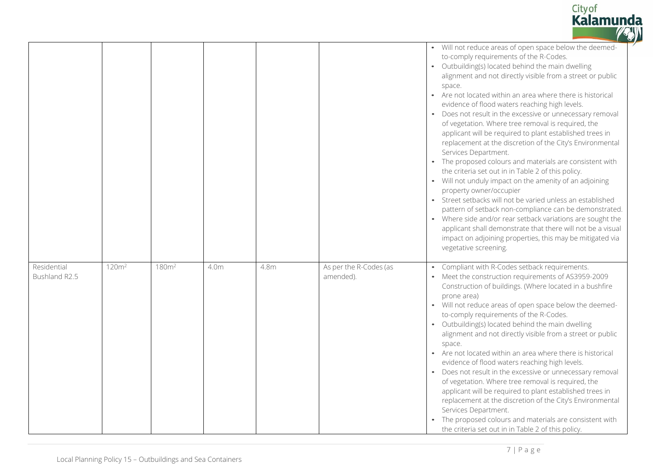

|                              |                   |                   |                  |      |                                     | $\bullet$ | • Will not reduce areas of open space below the deemed-<br>to-comply requirements of the R-Codes.<br>Outbuilding(s) located behind the main dwelling<br>alignment and not directly visible from a street or public<br>space.<br>• Are not located within an area where there is historical<br>evidence of flood waters reaching high levels.<br>Does not result in the excessive or unnecessary removal<br>of vegetation. Where tree removal is required, the<br>applicant will be required to plant established trees in<br>replacement at the discretion of the City's Environmental<br>Services Department.<br>The proposed colours and materials are consistent with<br>the criteria set out in in Table 2 of this policy.<br>• Will not unduly impact on the amenity of an adjoining<br>property owner/occupier<br>• Street setbacks will not be varied unless an established<br>pattern of setback non-compliance can be demonstrated.<br>• Where side and/or rear setback variations are sought the<br>applicant shall demonstrate that there will not be a visual<br>impact on adjoining properties, this may be mitigated via<br>vegetative screening. |
|------------------------------|-------------------|-------------------|------------------|------|-------------------------------------|-----------|-----------------------------------------------------------------------------------------------------------------------------------------------------------------------------------------------------------------------------------------------------------------------------------------------------------------------------------------------------------------------------------------------------------------------------------------------------------------------------------------------------------------------------------------------------------------------------------------------------------------------------------------------------------------------------------------------------------------------------------------------------------------------------------------------------------------------------------------------------------------------------------------------------------------------------------------------------------------------------------------------------------------------------------------------------------------------------------------------------------------------------------------------------------------|
| Residential<br>Bushland R2.5 | 120m <sup>2</sup> | 180m <sup>2</sup> | 4.0 <sub>m</sub> | 4.8m | As per the R-Codes (as<br>amended). |           | Compliant with R-Codes setback requirements.<br>• Meet the construction requirements of AS3959-2009<br>Construction of buildings. (Where located in a bushfire<br>prone area)<br>• Will not reduce areas of open space below the deemed-<br>to-comply requirements of the R-Codes.<br>• Outbuilding(s) located behind the main dwelling<br>alignment and not directly visible from a street or public<br>space.<br>• Are not located within an area where there is historical<br>evidence of flood waters reaching high levels.<br>• Does not result in the excessive or unnecessary removal<br>of vegetation. Where tree removal is required, the<br>applicant will be required to plant established trees in<br>replacement at the discretion of the City's Environmental<br>Services Department.<br>The proposed colours and materials are consistent with<br>the criteria set out in in Table 2 of this policy.                                                                                                                                                                                                                                             |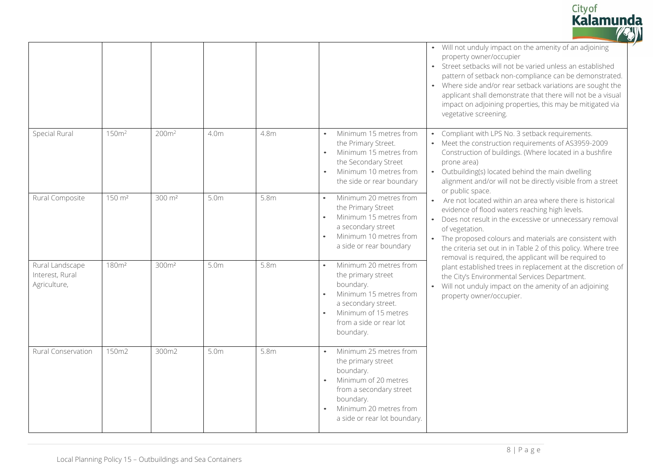

|                                                    |                    |                     |                  |      |                                                                                                                                                                                               | • Will not unduly impact on the amenity of an adjoining<br>property owner/occupier<br>Street setbacks will not be varied unless an established<br>$\bullet$<br>pattern of setback non-compliance can be demonstrated.<br>Where side and/or rear setback variations are sought the<br>applicant shall demonstrate that there will not be a visual<br>impact on adjoining properties, this may be mitigated via<br>vegetative screening. |
|----------------------------------------------------|--------------------|---------------------|------------------|------|-----------------------------------------------------------------------------------------------------------------------------------------------------------------------------------------------|----------------------------------------------------------------------------------------------------------------------------------------------------------------------------------------------------------------------------------------------------------------------------------------------------------------------------------------------------------------------------------------------------------------------------------------|
| Special Rural                                      | 150m <sup>2</sup>  | 200m <sup>2</sup>   | 4.0m             | 4.8m | Minimum 15 metres from<br>$\bullet$<br>the Primary Street.<br>Minimum 15 metres from<br>$\bullet$<br>the Secondary Street<br>Minimum 10 metres from<br>$\bullet$<br>the side or rear boundary | Compliant with LPS No. 3 setback requirements.<br>$\bullet$<br>• Meet the construction requirements of AS3959-2009<br>Construction of buildings. (Where located in a bushfire<br>prone area)<br>Outbuilding(s) located behind the main dwelling<br>$\bullet$<br>alignment and/or will not be directly visible from a street<br>or public space.                                                                                        |
| Rural Composite                                    | 150 m <sup>2</sup> | $300 \; \text{m}^2$ | 5.0 <sub>m</sub> | 5.8m | Minimum 20 metres from<br>the Primary Street<br>Minimum 15 metres from<br>a secondary street<br>Minimum 10 metres from<br>a side or rear boundary                                             | Are not located within an area where there is historical<br>$\bullet$<br>evidence of flood waters reaching high levels.<br>Does not result in the excessive or unnecessary removal<br>$\bullet$<br>of vegetation.<br>• The proposed colours and materials are consistent with<br>the criteria set out in in Table 2 of this policy. Where tree<br>removal is required, the applicant will be required to                               |
| Rural Landscape<br>Interest, Rural<br>Agriculture, | 180m <sup>2</sup>  | 300m <sup>2</sup>   | 5.0m             | 5.8m | Minimum 20 metres from<br>the primary street<br>boundary.<br>Minimum 15 metres from<br>a secondary street.<br>Minimum of 15 metres<br>from a side or rear lot<br>boundary.                    | plant established trees in replacement at the discretion of<br>the City's Environmental Services Department.<br>Will not unduly impact on the amenity of an adjoining<br>property owner/occupier.                                                                                                                                                                                                                                      |
| <b>Rural Conservation</b>                          | 150m2              | 300m2               | 5.0 <sub>m</sub> | 5.8m | Minimum 25 metres from<br>the primary street<br>boundary.<br>Minimum of 20 metres<br>from a secondary street<br>boundary.<br>Minimum 20 metres from<br>a side or rear lot boundary.           |                                                                                                                                                                                                                                                                                                                                                                                                                                        |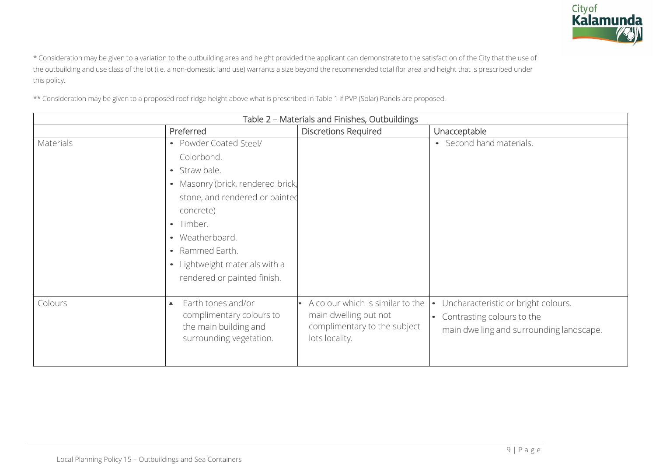

\* Consideration may be given to a variation to the outbuilding area and height provided the applicant can demonstrate to the satisfaction of the City that the use of the outbuilding and use class of the lot (i.e. a non-domestic land use) warrants a size beyond the recommended total flor area and height that is prescribed under this policy.

\*\* Consideration may be given to a proposed roof ridge height above what is prescribed in Table 1 if PVP (Solar) Panels are proposed.

|           |                                                                                                                                                                                                                                                               | Table 2 - Materials and Finishes, Outbuildings                                                              |                                                                                                                                         |
|-----------|---------------------------------------------------------------------------------------------------------------------------------------------------------------------------------------------------------------------------------------------------------------|-------------------------------------------------------------------------------------------------------------|-----------------------------------------------------------------------------------------------------------------------------------------|
|           | Preferred                                                                                                                                                                                                                                                     | <b>Discretions Required</b>                                                                                 | Unacceptable                                                                                                                            |
| Materials | • Powder Coated Steel/<br>Colorbond.<br>• Straw bale.<br>• Masonry (brick, rendered brick,<br>stone, and rendered or painted<br>concrete)<br>• Timber.<br>• Weatherboard.<br>• Rammed Earth.<br>• Lightweight materials with a<br>rendered or painted finish. |                                                                                                             | • Second hand materials.                                                                                                                |
| Colours   | Earth tones and/or<br>$\bullet$<br>complimentary colours to<br>the main building and<br>surrounding vegetation.                                                                                                                                               | A colour which is similar to the<br>main dwelling but not<br>complimentary to the subject<br>lots locality. | Uncharacteristic or bright colours.<br>$\bullet$<br>Contrasting colours to the<br>$\bullet$<br>main dwelling and surrounding landscape. |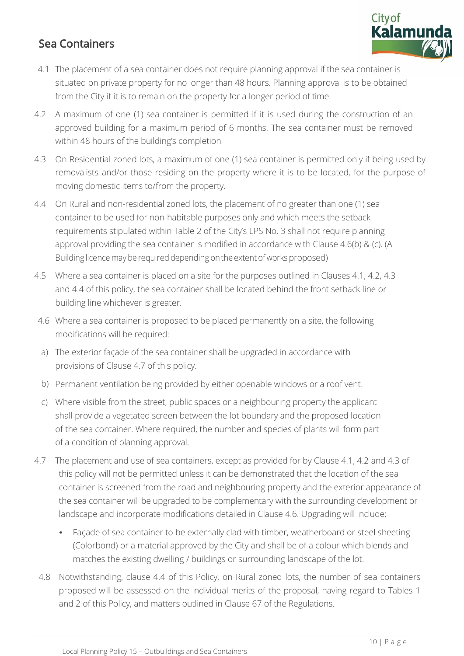# Sea Containers



- 4.1 The placement of a sea container does not require planning approval if the sea container is situated on private property for no longer than 48 hours. Planning approval is to be obtained from the City if it is to remain on the property for a longer period of time.
- 4.2 A maximum of one (1) sea container is permitted if it is used during the construction of an approved building for a maximum period of 6 months. The sea container must be removed within 48 hours of the building's completion
- 4.3 On Residential zoned lots, a maximum of one (1) sea container is permitted only if being used by removalists and/or those residing on the property where it is to be located, for the purpose of moving domestic items to/from the property.
- 4.4 On Rural and non-residential zoned lots, the placement of no greater than one (1) sea container to be used for non-habitable purposes only and which meets the setback requirements stipulated within Table 2 of the City's LPS No. 3 shall not require planning approval providing the sea container is modified in accordance with Clause 4.6(b) & (c). (A Building licence may be required depending on the extent of works proposed)
- 4.5 Where a sea container is placed on a site for the purposes outlined in Clauses 4.1, 4.2, 4.3 and 4.4 of this policy, the sea container shall be located behind the front setback line or building line whichever is greater.
- 4.6 Where a sea container is proposed to be placed permanently on a site, the following modifications will be required:
- a) The exterior façade of the sea container shall be upgraded in accordance with provisions of Clause 4.7 of this policy.
- b) Permanent ventilation being provided by either openable windows or a roof vent.
- c) Where visible from the street, public spaces or a neighbouring property the applicant shall provide a vegetated screen between the lot boundary and the proposed location of the sea container. Where required, the number and species of plants will form part of a condition of planning approval.
- 4.7 The placement and use of sea containers, except as provided for by Clause 4.1, 4.2 and 4.3 of this policy will not be permitted unless it can be demonstrated that the location of the sea container is screened from the road and neighbouring property and the exterior appearance of the sea container will be upgraded to be complementary with the surrounding development or landscape and incorporate modifications detailed in Clause 4.6. Upgrading will include:
	- Façade of sea container to be externally clad with timber, weatherboard or steel sheeting (Colorbond) or a material approved by the City and shall be of a colour which blends and matches the existing dwelling / buildings or surrounding landscape of the lot.
- 4.8 Notwithstanding, clause 4.4 of this Policy, on Rural zoned lots, the number of sea containers proposed will be assessed on the individual merits of the proposal, having regard to Tables 1 and 2 of this Policy, and matters outlined in Clause 67 of the Regulations.